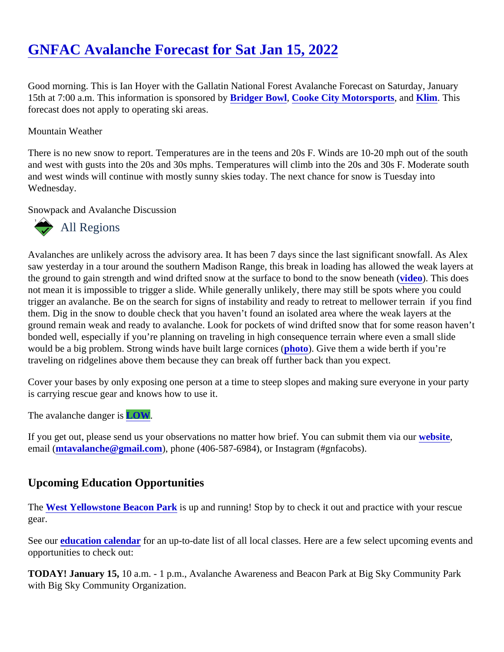## [GNFAC Avalanche Forecast for Sat Jan 15, 202](https://www.mtavalanche.com/forecast/22/01/15)2

Good morning. This is Ian Hoyer with the Gallatin National Forest Avalanche Forecast on Saturday, January 15th at 7:00 a.m. This information is sponsore Bby ger Bowl, [Cooke City Motorsports](http://www.cookecitymotorsports.com/), an[d Klim](https://www.klim.com/). This forecast does not apply to operating ski areas.

## Mountain Weather

There is no new snow to report. Temperatures are in the teens and 20s F. Winds are 10-20 mph out of the south and west with gusts into the 20s and 30s mphs. Temperatures will climb into the 20s and 30s F. Moderate so and west winds will continue with mostly sunny skies today. The next chance for snow is Tuesday into Wednesday.

Snowpack and Avalanche Discussion

## All Regions

Avalanches are unlikely across the advisory area. It has been 7 days since the last significant snowfall. As Ale saw yesterday in a tour around the southern Madison Range, this break in loading has allowed the weak laye the ground to gain strength and wind drifted snow at the surface to bond to the snow [benea](https://www.youtube.com/watch?v=Rdv_14BacQU)th (his does not mean it is impossible to trigger a slide. While generally unlikely, there may still be spots where you could trigger an avalanche. Be on the search for signs of instability and ready to retreat to mellower terrain if you fin them. Dig in the snow to double check that you haven't found an isolated area where the weak layers at the ground remain weak and ready to avalanche. Look for pockets of wind drifted snow that for some reason hav bonded well, especially if you're planning on traveling in high consequence terrain where even a small slide would be a big problem. Strong winds have built large cornides (o). Give them a wide berth if you're traveling on ridgelines above them because they can break off further back than you expect.

Cover your bases by only exposing one person at a time to steep slopes and making sure everyone in your p is carrying rescue gear and knows how to use it.

The avalanche dangerLOW.

If you get out, please send us your observations no matter how brief. You can submit them velasing email [\(mtavalanche@gmail.com](mailto:mtavalanche@gmail.com)), phone (406-587-6984), or Instagram (#gnfacobs).

## Upcoming Education Opportunities

The [West Yellowstone Beacon Par](https://www.mtavalanche.com/images/22/west-yellowstone-beacon-park)ks up and running! Stop by to check it out and practice with your rescue gear.

See ou[r education calendar](https://www.mtavalanche.com/education)for an up-to-date list of all local classes. Here are a few select upcoming events an opportunities to check out:

TODAY! January 15, 10 a.m. - 1 p.m., Avalanche Awareness and Beacon Park at Big Sky Community Park with Big Sky Community Organization.